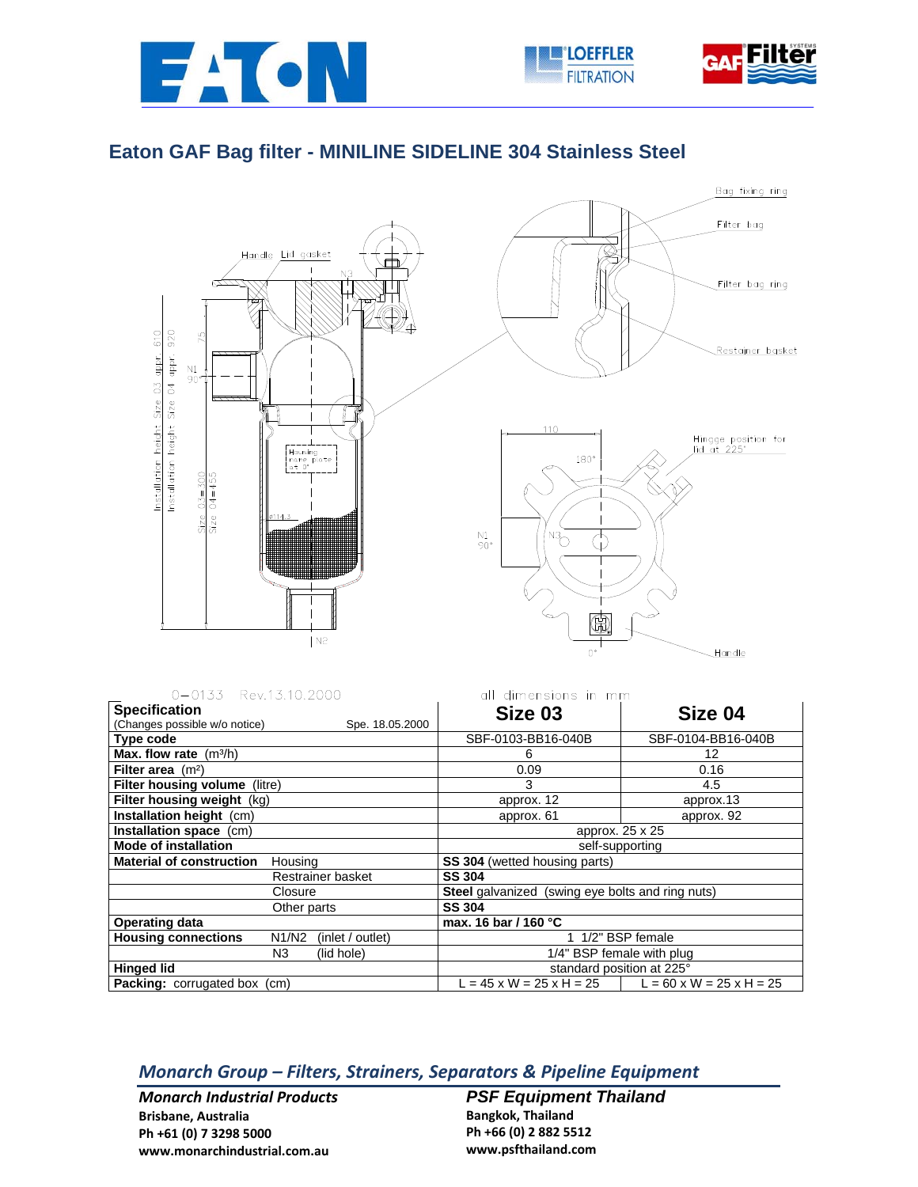





## **Eaton GAF Bag filter - MINILINE SIDELINE 304 Stainless Steel**



| 0-0133 Rev.13.10.2000                                                    | all dimensions in mm                                    |                    |
|--------------------------------------------------------------------------|---------------------------------------------------------|--------------------|
| <b>Specification</b><br>(Changes possible w/o notice)<br>Spe. 18.05.2000 | Size 03                                                 | Size 04            |
| <b>Type code</b>                                                         | SBF-0103-BB16-040B                                      | SBF-0104-BB16-040B |
| <b>Max. flow rate</b> $(m^3/h)$                                          | 6                                                       | 12                 |
| Filter area $(m2)$                                                       | 0.09                                                    | 0.16               |
| Filter housing volume (litre)                                            | 3                                                       | 4.5                |
| Filter housing weight (kg)                                               | approx. 12                                              | approx.13          |
| Installation height (cm)                                                 | approx. 61                                              | approx. 92         |
| Installation space (cm)                                                  | approx. 25 x 25                                         |                    |
| <b>Mode of installation</b>                                              | self-supporting                                         |                    |
| <b>Material of construction</b><br>Housing                               | SS 304 (wetted housing parts)                           |                    |
| Restrainer basket                                                        | <b>SS 304</b>                                           |                    |
| Closure                                                                  | <b>Steel</b> galvanized (swing eye bolts and ring nuts) |                    |
| Other parts                                                              | <b>SS 304</b>                                           |                    |
| <b>Operating data</b>                                                    | max. 16 bar / 160 °C                                    |                    |
| <b>Housing connections</b><br>N1/N2<br>(inlet / outlet)                  | 1 1/2" BSP female                                       |                    |
| N3<br>(lid hole)                                                         | 1/4" BSP female with plug                               |                    |
| <b>Hinged lid</b>                                                        | standard position at 225°                               |                    |

**Packing:** corrugated box (cm) L = 45 x W = 25 x H = 25 L = 60 x W = 25 x H = 25

*Monarch Group – Filters, Strainers, Separators & Pipeline Equipment*

*Monarch Industrial Products* **Brisbane, Australia Ph +61 (0) 7 3298 5000 www.monarchindustrial.com.au**

**PSF Equipment Thailand Bangkok, Thailand Ph +66 (0) 2 882 5512 www.psfthailand.com**